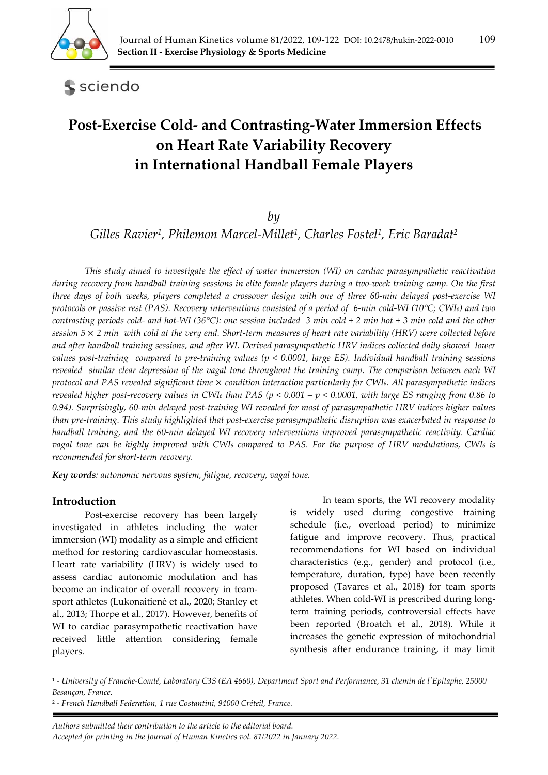

sciendo

# **Post‐Exercise Cold‐ and Contrasting‐Water Immersion Effects on Heart Rate Variability Recovery in International Handball Female Players**

## *by*

*Gilles Ravier1, Philemon Marcel-Millet1, Charles Fostel1, Eric Baradat2*

*This study aimed to investigate the effect of water immersion (WI) on cardiac parasympathetic reactivation during recovery from handball training sessions in elite female players during a two-week training camp. On the first three days of both weeks, players completed a crossover design with one of three 60-min delayed post-exercise WI protocols or passive rest (PAS). Recovery interventions consisted of a period of 6-min cold-WI (10°C; CWI6) and two contrasting periods cold- and hot-WI (36°C): one session included 3 min cold + 2 min hot + 3 min cold and the other session 5* × *2 min with cold at the very end. Short-term measures of heart rate variability (HRV) were collected before and after handball training sessions, and after WI. Derived parasympathetic HRV indices collected daily showed lower values post-training compared to pre-training values (p < 0.0001, large ES). Individual handball training sessions revealed similar clear depression of the vagal tone throughout the training camp. The comparison between each WI protocol and PAS revealed significant time* × *condition interaction particularly for CWI6. All parasympathetic indices revealed higher post-recovery values in CWI6 than PAS (p < 0.001 – p < 0.0001, with large ES ranging from 0.86 to 0.94). Surprisingly, 60-min delayed post-training WI revealed for most of parasympathetic HRV indices higher values than pre-training. This study highlighted that post-exercise parasympathetic disruption was exacerbated in response to handball training, and the 60-min delayed WI recovery interventions improved parasympathetic reactivity. Cardiac vagal tone can be highly improved with CWI6 compared to PAS. For the purpose of HRV modulations, CWI6 is recommended for short-term recovery.* 

*Key words: autonomic nervous system, fatigue, recovery, vagal tone.* 

## **Introduction**

Post-exercise recovery has been largely investigated in athletes including the water immersion (WI) modality as a simple and efficient method for restoring cardiovascular homeostasis. Heart rate variability (HRV) is widely used to assess cardiac autonomic modulation and has become an indicator of overall recovery in teamsport athletes (Lukonaitienė et al., 2020; Stanley et al., 2013; Thorpe et al., 2017). However, benefits of WI to cardiac parasympathetic reactivation have received little attention considering female players.

 In team sports, the WI recovery modality is widely used during congestive training schedule (i.e., overload period) to minimize fatigue and improve recovery. Thus, practical recommendations for WI based on individual characteristics (e.g., gender) and protocol (i.e., temperature, duration, type) have been recently proposed (Tavares et al., 2018) for team sports athletes. When cold-WI is prescribed during longterm training periods, controversial effects have been reported (Broatch et al., 2018). While it increases the genetic expression of mitochondrial synthesis after endurance training, it may limit

<sup>1 -</sup> *University of Franche-Comté, Laboratory C3S (EA 4660), Department Sport and Performance, 31 chemin de l'Epitaphe, 25000 Besançon, France.* 

<sup>2 -</sup> *French Handball Federation, 1 rue Costantini, 94000 Créteil, France.*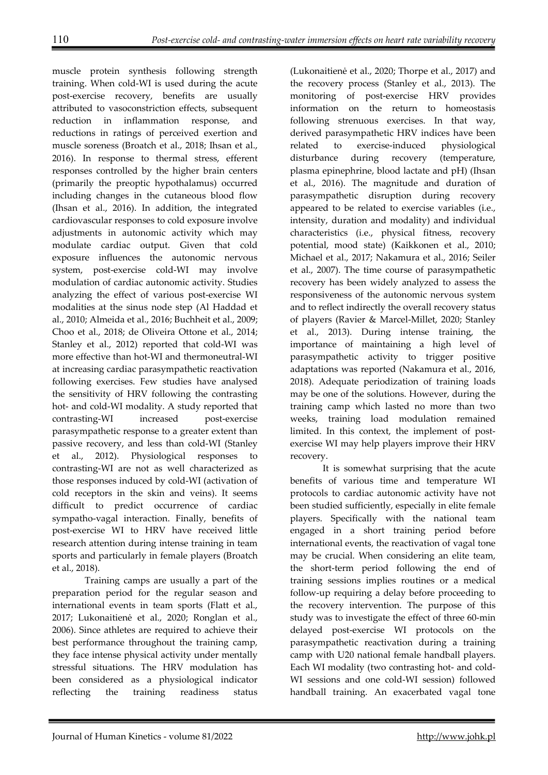muscle protein synthesis following strength training. When cold-WI is used during the acute post-exercise recovery, benefits are usually attributed to vasoconstriction effects, subsequent reduction in inflammation response, and reductions in ratings of perceived exertion and muscle soreness (Broatch et al., 2018; Ihsan et al., 2016). In response to thermal stress, efferent responses controlled by the higher brain centers (primarily the preoptic hypothalamus) occurred including changes in the cutaneous blood flow (Ihsan et al., 2016). In addition, the integrated cardiovascular responses to cold exposure involve adjustments in autonomic activity which may modulate cardiac output. Given that cold exposure influences the autonomic nervous system, post-exercise cold-WI may involve modulation of cardiac autonomic activity. Studies analyzing the effect of various post-exercise WI modalities at the sinus node step (Al Haddad et al., 2010; Almeida et al., 2016; Buchheit et al., 2009; Choo et al., 2018; de Oliveira Ottone et al., 2014; Stanley et al., 2012) reported that cold-WI was more effective than hot-WI and thermoneutral-WI at increasing cardiac parasympathetic reactivation following exercises. Few studies have analysed the sensitivity of HRV following the contrasting hot- and cold-WI modality. A study reported that contrasting-WI increased post-exercise parasympathetic response to a greater extent than passive recovery, and less than cold-WI (Stanley et al., 2012). Physiological responses to contrasting-WI are not as well characterized as those responses induced by cold-WI (activation of cold receptors in the skin and veins). It seems difficult to predict occurrence of cardiac sympatho-vagal interaction. Finally, benefits of post-exercise WI to HRV have received little research attention during intense training in team sports and particularly in female players (Broatch et al., 2018).

 Training camps are usually a part of the preparation period for the regular season and international events in team sports (Flatt et al., 2017; Lukonaitienė et al., 2020; Ronglan et al., 2006). Since athletes are required to achieve their best performance throughout the training camp, they face intense physical activity under mentally stressful situations. The HRV modulation has been considered as a physiological indicator reflecting the training readiness status

(Lukonaitienė et al., 2020; Thorpe et al., 2017) and the recovery process (Stanley et al., 2013). The monitoring of post-exercise HRV provides information on the return to homeostasis following strenuous exercises. In that way, derived parasympathetic HRV indices have been related to exercise-induced physiological disturbance during recovery (temperature, plasma epinephrine, blood lactate and pH) (Ihsan et al., 2016). The magnitude and duration of parasympathetic disruption during recovery appeared to be related to exercise variables (i.e., intensity, duration and modality) and individual characteristics (i.e., physical fitness, recovery potential, mood state) (Kaikkonen et al., 2010; Michael et al., 2017; Nakamura et al., 2016; Seiler et al., 2007). The time course of parasympathetic recovery has been widely analyzed to assess the responsiveness of the autonomic nervous system and to reflect indirectly the overall recovery status of players (Ravier & Marcel-Millet, 2020; Stanley et al., 2013). During intense training, the importance of maintaining a high level of parasympathetic activity to trigger positive adaptations was reported (Nakamura et al., 2016, 2018). Adequate periodization of training loads may be one of the solutions. However, during the training camp which lasted no more than two weeks, training load modulation remained limited. In this context, the implement of postexercise WI may help players improve their HRV recovery.

 It is somewhat surprising that the acute benefits of various time and temperature WI protocols to cardiac autonomic activity have not been studied sufficiently, especially in elite female players. Specifically with the national team engaged in a short training period before international events, the reactivation of vagal tone may be crucial. When considering an elite team, the short-term period following the end of training sessions implies routines or a medical follow-up requiring a delay before proceeding to the recovery intervention. The purpose of this study was to investigate the effect of three 60-min delayed post-exercise WI protocols on the parasympathetic reactivation during a training camp with U20 national female handball players. Each WI modality (two contrasting hot- and cold-WI sessions and one cold-WI session) followed handball training. An exacerbated vagal tone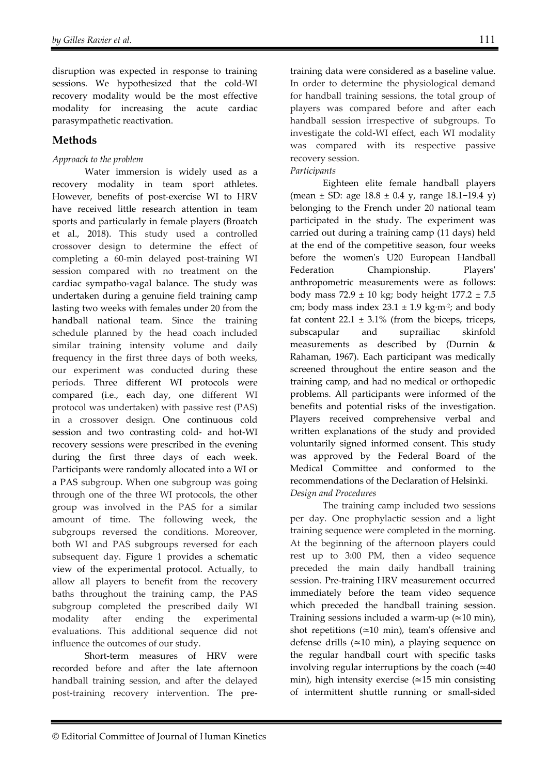disruption was expected in response to training sessions. We hypothesized that the cold-WI recovery modality would be the most effective modality for increasing the acute cardiac parasympathetic reactivation.

# **Methods**

## *Approach to the problem*

 Water immersion is widely used as a recovery modality in team sport athletes. However, benefits of post-exercise WI to HRV have received little research attention in team sports and particularly in female players (Broatch et al., 2018). This study used a controlled crossover design to determine the effect of completing a 60-min delayed post-training WI session compared with no treatment on the cardiac sympatho-vagal balance. The study was undertaken during a genuine field training camp lasting two weeks with females under 20 from the handball national team. Since the training schedule planned by the head coach included similar training intensity volume and daily frequency in the first three days of both weeks, our experiment was conducted during these periods. Three different WI protocols were compared (i.e., each day, one different WI protocol was undertaken) with passive rest (PAS) in a crossover design. One continuous cold session and two contrasting cold- and hot-WI recovery sessions were prescribed in the evening during the first three days of each week. Participants were randomly allocated into a WI or a PAS subgroup. When one subgroup was going through one of the three WI protocols, the other group was involved in the PAS for a similar amount of time. The following week, the subgroups reversed the conditions. Moreover, both WI and PAS subgroups reversed for each subsequent day. Figure 1 provides a schematic view of the experimental protocol. Actually, to allow all players to benefit from the recovery baths throughout the training camp, the PAS subgroup completed the prescribed daily WI modality after ending the experimental evaluations. This additional sequence did not influence the outcomes of our study.

 Short-term measures of HRV were recorded before and after the late afternoon handball training session, and after the delayed post-training recovery intervention. The pretraining data were considered as a baseline value. In order to determine the physiological demand for handball training sessions, the total group of players was compared before and after each handball session irrespective of subgroups. To investigate the cold-WI effect, each WI modality was compared with its respective passive recovery session.

## *Participants*

 Eighteen elite female handball players (mean ± SD: age 18.8 ± 0.4 y, range 18.1−19.4 y) belonging to the French under 20 national team participated in the study. The experiment was carried out during a training camp (11 days) held at the end of the competitive season, four weeks before the women's U20 European Handball Federation Championship. Players' anthropometric measurements were as follows: body mass  $72.9 \pm 10$  kg; body height  $177.2 \pm 7.5$ cm; body mass index  $23.1 \pm 1.9$  kg⋅m<sup>-2</sup>; and body fat content  $22.1 \pm 3.1\%$  (from the biceps, triceps, subscapular and suprailiac skinfold measurements as described by (Durnin & Rahaman, 1967). Each participant was medically screened throughout the entire season and the training camp, and had no medical or orthopedic problems. All participants were informed of the benefits and potential risks of the investigation. Players received comprehensive verbal and written explanations of the study and provided voluntarily signed informed consent. This study was approved by the Federal Board of the Medical Committee and conformed to the recommendations of the Declaration of Helsinki. *Design and Procedures* 

 The training camp included two sessions per day. One prophylactic session and a light training sequence were completed in the morning. At the beginning of the afternoon players could rest up to 3:00 PM, then a video sequence preceded the main daily handball training session. Pre-training HRV measurement occurred immediately before the team video sequence which preceded the handball training session. Training sessions included a warm-up (≃10 min), shot repetitions (≃10 min), team's offensive and defense drills (≃10 min), a playing sequence on the regular handball court with specific tasks involving regular interruptions by the coach  $(≥40$ min), high intensity exercise (≃15 min consisting of intermittent shuttle running or small-sided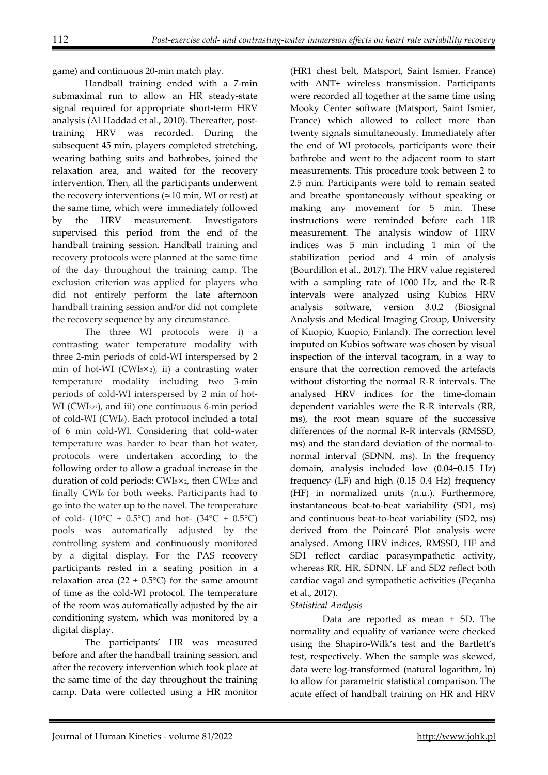game) and continuous 20-min match play.

Handball training ended with a 7-min submaximal run to allow an HR steady-state signal required for appropriate short-term HRV analysis (Al Haddad et al., 2010). Thereafter, posttraining HRV was recorded. During the subsequent 45 min, players completed stretching, wearing bathing suits and bathrobes, joined the relaxation area, and waited for the recovery intervention. Then, all the participants underwent the recovery interventions (≃10 min, WI or rest) at the same time, which were immediately followed by the HRV measurement. Investigators supervised this period from the end of the handball training session. Handball training and recovery protocols were planned at the same time of the day throughout the training camp. The exclusion criterion was applied for players who did not entirely perform the late afternoon handball training session and/or did not complete the recovery sequence by any circumstance.

 The three WI protocols were i) a contrasting water temperature modality with three 2-min periods of cold-WI interspersed by 2 min of hot-WI (CWI5×2), ii) a contrasting water temperature modality including two 3-min periods of cold-WI interspersed by 2 min of hot-WI (CWI323), and iii) one continuous 6-min period of cold-WI (CWI6). Each protocol included a total of 6 min cold-WI. Considering that cold-water temperature was harder to bear than hot water, protocols were undertaken according to the following order to allow a gradual increase in the duration of cold periods: CWI5×2, then CWI323 and finally CWI6 for both weeks. Participants had to go into the water up to the navel. The temperature of cold- (10 $^{\circ}$ C ± 0.5 $^{\circ}$ C) and hot- (34 $^{\circ}$ C ± 0.5 $^{\circ}$ C) pools was automatically adjusted by the controlling system and continuously monitored by a digital display. For the PAS recovery participants rested in a seating position in a relaxation area (22  $\pm$  0.5°C) for the same amount of time as the cold-WI protocol. The temperature of the room was automatically adjusted by the air conditioning system, which was monitored by a digital display.

 The participants' HR was measured before and after the handball training session, and after the recovery intervention which took place at the same time of the day throughout the training camp. Data were collected using a HR monitor

(HR1 chest belt, Matsport, Saint Ismier, France) with ANT+ wireless transmission. Participants were recorded all together at the same time using Mooky Center software (Matsport, Saint Ismier, France) which allowed to collect more than twenty signals simultaneously. Immediately after the end of WI protocols, participants wore their bathrobe and went to the adjacent room to start measurements. This procedure took between 2 to 2.5 min. Participants were told to remain seated and breathe spontaneously without speaking or making any movement for 5 min. These instructions were reminded before each HR measurement. The analysis window of HRV indices was 5 min including 1 min of the stabilization period and 4 min of analysis (Bourdillon et al., 2017). The HRV value registered with a sampling rate of 1000 Hz, and the R-R intervals were analyzed using Kubios HRV analysis software, version 3.0.2 (Biosignal Analysis and Medical Imaging Group, University of Kuopio, Kuopio, Finland). The correction level imputed on Kubios software was chosen by visual inspection of the interval tacogram, in a way to ensure that the correction removed the artefacts without distorting the normal R-R intervals. The analysed HRV indices for the time-domain dependent variables were the R-R intervals (RR, ms), the root mean square of the successive differences of the normal R-R intervals (RMSSD, ms) and the standard deviation of the normal-tonormal interval (SDNN, ms). In the frequency domain, analysis included low (0.04−0.15 Hz) frequency (LF) and high (0.15−0.4 Hz) frequency (HF) in normalized units (n.u.). Furthermore, instantaneous beat-to-beat variability (SD1, ms) and continuous beat-to-beat variability (SD2, ms) derived from the Poincaré Plot analysis were analysed. Among HRV indices, RMSSD, HF and SD1 reflect cardiac parasympathetic activity, whereas RR, HR, SDNN, LF and SD2 reflect both cardiac vagal and sympathetic activities (Peçanha et al., 2017).

#### *Statistical Analysis*

Data are reported as mean  $\pm$  SD. The normality and equality of variance were checked using the Shapiro-Wilk's test and the Bartlett's test, respectively. When the sample was skewed, data were log-transformed (natural logarithm, ln) to allow for parametric statistical comparison. The acute effect of handball training on HR and HRV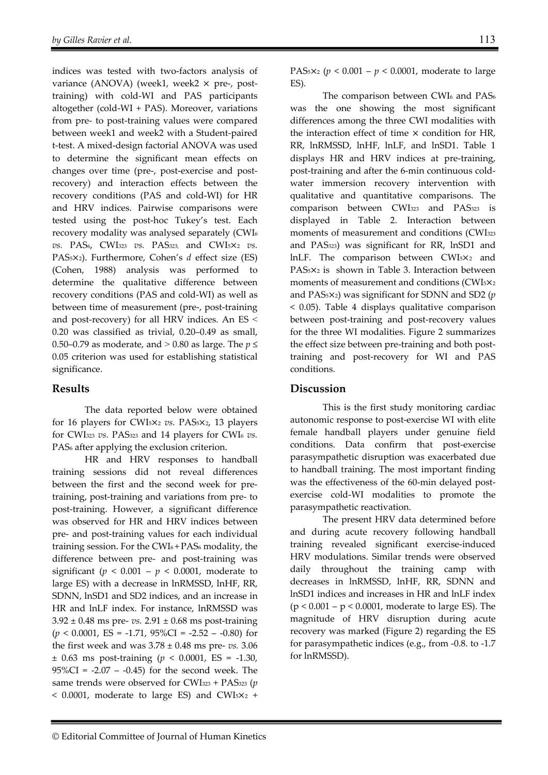indices was tested with two-factors analysis of variance (ANOVA) (week1, week2 × pre-, posttraining) with cold-WI and PAS participants altogether (cold-WI + PAS). Moreover, variations from pre- to post-training values were compared between week1 and week2 with a Student-paired t-test. A mixed-design factorial ANOVA was used to determine the significant mean effects on changes over time (pre-, post-exercise and postrecovery) and interaction effects between the recovery conditions (PAS and cold-WI) for HR and HRV indices. Pairwise comparisons were tested using the post-hoc Tukey's test. Each recovery modality was analysed separately (CWI6 *vs.* PAS6, CWI323 *vs.* PAS323, and CWI5×<sup>2</sup> *vs.* PAS5×2). Furthermore, Cohen's *d* effect size (ES) (Cohen, 1988) analysis was performed to determine the qualitative difference between recovery conditions (PAS and cold-WI) as well as between time of measurement (pre-, post-training and post-recovery) for all HRV indices. An ES ˂ 0.20 was classified as trivial, 0.20–0.49 as small, 0.50–0.79 as moderate, and  $> 0.80$  as large. The  $p \leq$ 0.05 criterion was used for establishing statistical significance.

#### **Results**

 The data reported below were obtained for 16 players for CWI5×<sup>2</sup> *vs.* PAS5×2, 13 players for CWI323 *vs.* PAS323 and 14 players for CWI6 *vs.*  PAS<sub>6</sub> after applying the exclusion criterion.

 HR and HRV responses to handball training sessions did not reveal differences between the first and the second week for pretraining, post-training and variations from pre- to post-training. However, a significant difference was observed for HR and HRV indices between pre- and post-training values for each individual training session. For the CWI6 + PAS6 modality, the difference between pre- and post-training was significant ( $p < 0.001 - p < 0.0001$ , moderate to large ES) with a decrease in lnRMSSD, lnHF, RR, SDNN, lnSD1 and SD2 indices, and an increase in HR and lnLF index. For instance, lnRMSSD was  $3.92 \pm 0.48$  ms pre- *vs.*  $2.91 \pm 0.68$  ms post-training  $(p < 0.0001, ES = -1.71, 95\%CI = -2.52 - -0.80)$  for the first week and was 3.78 ± 0.48 ms pre- *vs.* 3.06 ± 0.63 ms post-training (*p* < 0.0001, ES = -1.30,  $95\%CI = -2.07 - -0.45$  for the second week. The same trends were observed for CWI323 + PAS323 (*p*   $<$  0.0001, moderate to large ES) and CWI<sub>5</sub> $\times$ 2 +

PAS5×2 (*p* < 0.001 – *p* < 0.0001, moderate to large ES).

The comparison between CWI<sub>6</sub> and PAS<sub>6</sub> was the one showing the most significant differences among the three CWI modalities with the interaction effect of time  $\times$  condition for HR, RR, lnRMSSD, lnHF, lnLF, and lnSD1. Table 1 displays HR and HRV indices at pre-training, post-training and after the 6-min continuous coldwater immersion recovery intervention with qualitative and quantitative comparisons. The comparison between CWI323 and PAS323 is displayed in Table 2. Interaction between moments of measurement and conditions (CWI<sub>323</sub> and PAS323) was significant for RR, lnSD1 and lnLF. The comparison between CWI5×2 and PAS5×2 is shown in Table 3. Interaction between moments of measurement and conditions (CWI5×<sup>2</sup> and PAS5×2) was significant for SDNN and SD2 (*p*  < 0.05). Table 4 displays qualitative comparison between post-training and post-recovery values for the three WI modalities. Figure 2 summarizes the effect size between pre-training and both posttraining and post-recovery for WI and PAS conditions.

#### **Discussion**

This is the first study monitoring cardiac autonomic response to post-exercise WI with elite female handball players under genuine field conditions. Data confirm that post-exercise parasympathetic disruption was exacerbated due to handball training. The most important finding was the effectiveness of the 60-min delayed postexercise cold-WI modalities to promote the parasympathetic reactivation.

The present HRV data determined before and during acute recovery following handball training revealed significant exercise-induced HRV modulations. Similar trends were observed daily throughout the training camp with decreases in lnRMSSD, lnHF, RR, SDNN and lnSD1 indices and increases in HR and lnLF index (p < 0.001 – p < 0.0001, moderate to large ES). The magnitude of HRV disruption during acute recovery was marked (Figure 2) regarding the ES for parasympathetic indices (e.g., from -0.8. to -1.7 for lnRMSSD).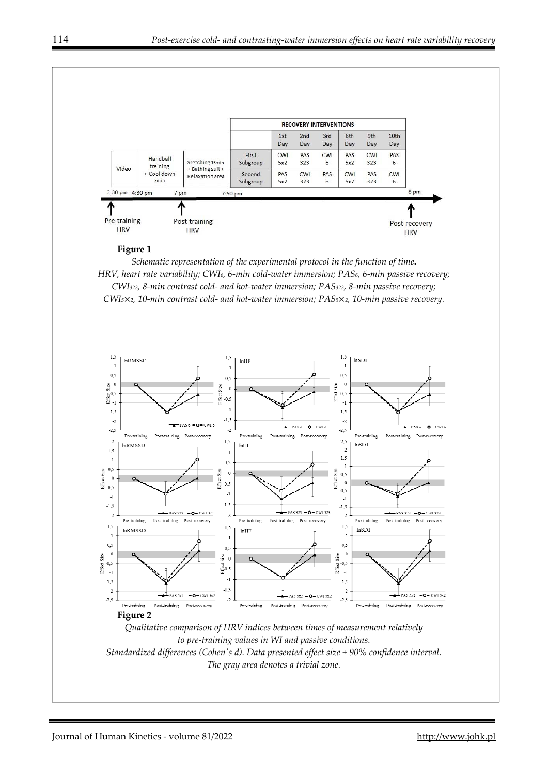

#### **Figure 1**

*Schematic representation of the experimental protocol in the function of time***.**  *HRV, heart rate variability; CWI6, 6-min cold-water immersion; PAS6, 6-min passive recovery; CWI323, 8-min contrast cold- and hot-water immersion; PAS323, 8-min passive recovery; CWI5*×*2, 10-min contrast cold- and hot-water immersion; PAS5*×*2, 10-min passive recovery.*



*The gray area denotes a trivial zone.*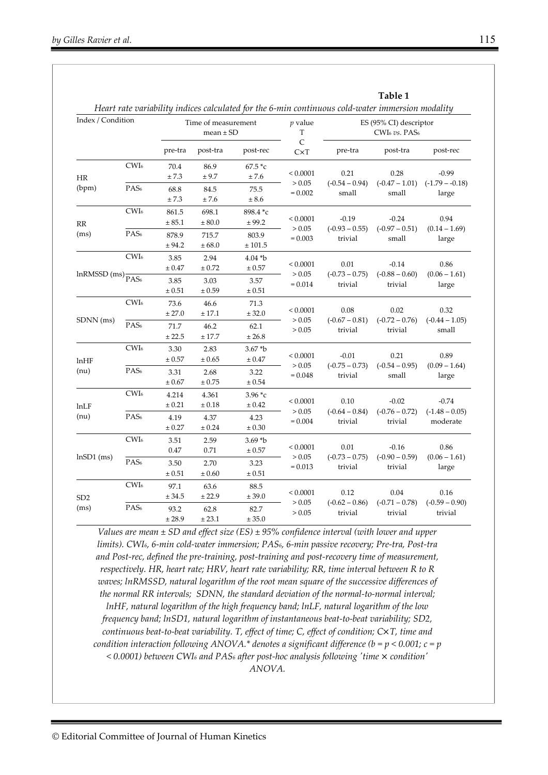|                                 |                  |                                      |                 |                      |                                     | Heart rate variability indices calculated for the 6-min continuous cold-water immersion modality |                                        |                                         |
|---------------------------------|------------------|--------------------------------------|-----------------|----------------------|-------------------------------------|--------------------------------------------------------------------------------------------------|----------------------------------------|-----------------------------------------|
| Index / Condition               |                  | Time of measurement<br>$mean \pm SD$ |                 |                      | $p$ value<br>T                      | ES (95% CI) descriptor<br>CWI <sub>6</sub> vs. PAS <sub>6</sub>                                  |                                        |                                         |
|                                 |                  | pre-tra                              | post-tra        | post-rec             | $\mathsf{C}$<br>CxT                 | pre-tra                                                                                          | post-tra                               | post-rec                                |
| HR                              | CWI <sub>6</sub> | 70.4<br>±7.3                         | 86.9<br>± 9.7   | $67.5 *c$<br>±7.6    | < 0.0001<br>> 0.05                  | 0.21                                                                                             | 0.28                                   | $-0.99$                                 |
| (bpm)                           | PAS <sub>6</sub> | 68.8<br>±7.3                         | 84.5<br>±7.6    | 75.5<br>± 8.6        | $= 0.002$                           | $(-0.54 - 0.94)$<br>small                                                                        | $(-0.47 - 1.01)$<br>small              | $(-1.79 - -0.18)$<br>large              |
| RR                              | CWI <sub>6</sub> | 861.5<br>± 85.1                      | 698.1<br>± 80.0 | 898.4 *c<br>± 99.2   | < 0.0001                            | $-0.19$                                                                                          | $-0.24$                                | 0.94                                    |
| (ms)                            | PAS <sub>6</sub> | 878.9<br>± 94.2                      | 715.7<br>± 68.0 | 803.9<br>± 101.5     | > 0.05<br>$= 0.003$                 | $(-0.93 - 0.55)$<br>trivial                                                                      | $(-0.97 - 0.51)$<br>small              | $(0.14 - 1.69)$<br>large                |
| $lnRMSSD$ (ms) $\frac{1}{PAS6}$ | CWI <sub>6</sub> | 3.85<br>$\pm 0.47$                   | 2.94<br>± 0.72  | $4.04 * b$<br>± 0.57 | < 0.0001<br>> 0.05<br>$= 0.014$     | 0.01<br>$(-0.73 - 0.75)$<br>trivial                                                              | $-0.14$<br>$(-0.88 - 0.60)$<br>trivial | 0.86<br>$(0.06 - 1.61)$<br>large        |
|                                 |                  | 3.85<br>$\pm 0.51$                   | 3.03<br>± 0.59  | 3.57<br>± 0.51       |                                     |                                                                                                  |                                        |                                         |
|                                 | CWI <sub>6</sub> | 73.6<br>± 27.0                       | 46.6<br>± 17.1  | 71.3<br>± 32.0       | ${}< 0.0001$                        | 0.08                                                                                             | 0.02                                   | 0.32                                    |
| SDNN (ms)                       | PAS <sub>6</sub> | 71.7<br>± 22.5                       | 46.2<br>± 17.7  | 62.1<br>± 26.8       | > 0.05<br>> 0.05                    | $(-0.67 - 0.81)$<br>trivial                                                                      | $(-0.72 - 0.76)$<br>trivial            | $(-0.44 - 1.05)$<br>small               |
| $ln$ HF<br>(nu)                 | CWI <sub>6</sub> | 3.30<br>$\pm 0.57$                   | 2.83<br>± 0.65  | $3.67 * b$<br>± 0.47 | ${}< 0.0001$<br>> 0.05<br>$= 0.048$ | $-0.01$<br>$(-0.75 - 0.73)$<br>trivial                                                           | 0.21<br>$(-0.54 - 0.95)$<br>small      | 0.89<br>$(0.09 - 1.64)$<br>large        |
|                                 | PAS <sub>6</sub> | 3.31<br>± 0.67                       | 2.68<br>± 0.75  | 3.22<br>± 0.54       |                                     |                                                                                                  |                                        |                                         |
| lnLF                            | CWI <sub>6</sub> | 4.214<br>± 0.21                      | 4.361<br>± 0.18 | $3.96 *c$<br>± 0.42  | ${}< 0.0001$                        | 0.10                                                                                             | $-0.02$<br>$(-0.76 - 0.72)$<br>trivial | $-0.74$<br>$(-1.48 - 0.05)$<br>moderate |
| (nu)                            | PAS <sub>6</sub> | 4.19<br>$\pm\,0.27$                  | 4.37<br>± 0.24  | 4.23<br>± 0.30       | > 0.05<br>$= 0.004$                 | $(-0.64 - 0.84)$<br>trivial                                                                      |                                        |                                         |
| $lnSD1$ (ms)                    | CWI <sub>6</sub> | 3.51<br>0.47                         | 2.59<br>0.71    | $3.69 * b$<br>± 0.57 | < 0.0001<br>> 0.05<br>$= 0.013$     | 0.01<br>$(-0.73 - 0.75)$<br>trivial                                                              | $-0.16$<br>$(-0.90 - 0.59)$<br>trivial | 0.86<br>$(0.06 - 1.61)$<br>large        |
|                                 | PAS <sub>6</sub> | 3.50<br>$\pm 0.51$                   | 2.70<br>± 0.60  | 3.23<br>$\pm 0.51$   |                                     |                                                                                                  |                                        |                                         |
| SD <sub>2</sub><br>(ms)         | CWI <sub>6</sub> | 97.1<br>± 34.5                       | 63.6<br>± 22.9  | 88.5<br>$\pm 39.0$   | ${}< 0.0001$<br>> 0.05<br>> 0.05    | 0.12<br>$(-0.62 - 0.86)$<br>trivial                                                              | 0.04<br>$(-0.71 - 0.78)$<br>trivial    | 0.16<br>$(-0.59 - 0.90)$<br>trivial     |
|                                 | PAS <sub>6</sub> | 93.2<br>± 28.9                       | 62.8<br>± 23.1  | 82.7<br>± 35.0       |                                     |                                                                                                  |                                        |                                         |

*Values are mean ± SD and effect size (ES) ± 95% confidence interval (with lower and upper limits). CWI6, 6-min cold-water immersion; PAS6, 6-min passive recovery; Pre-tra, Post-tra and Post-rec, defined the pre-training, post-training and post-recovery time of measurement, respectively. HR, heart rate; HRV, heart rate variability; RR, time interval between R to R waves; lnRMSSD, natural logarithm of the root mean square of the successive differences of the normal RR intervals; SDNN, the standard deviation of the normal-to-normal interval; lnHF, natural logarithm of the high frequency band; lnLF, natural logarithm of the low frequency band; lnSD1, natural logarithm of instantaneous beat-to-beat variability; SD2, continuous beat-to-beat variability. T, effect of time; C, effect of condition; C*×*T, time and condition interaction following ANOVA.\* denotes a significant difference (b = p < 0.001; c = p < 0.0001) between CWI6 and PAS6 after post-hoc analysis following 'time* × *condition' ANOVA.*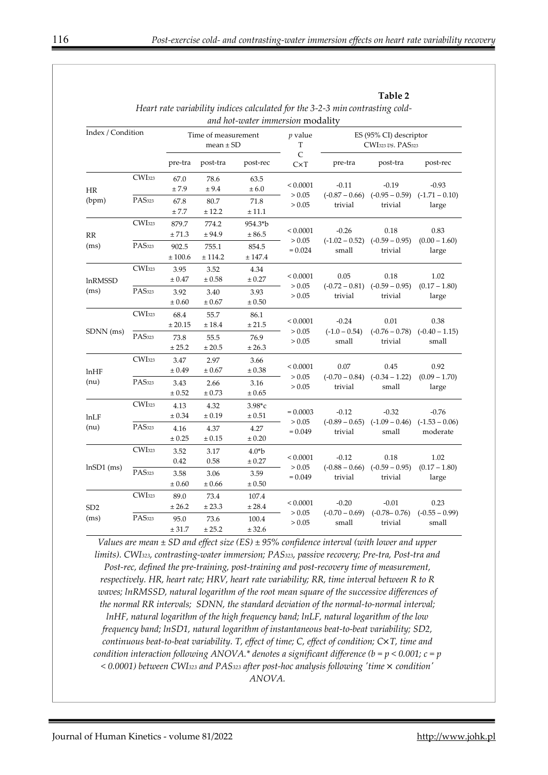**Table 2** 

|                   |                    |                                      |                     | <i>and hot-water immersion modality</i> |                                  |                                                                     |                                              |                                         |
|-------------------|--------------------|--------------------------------------|---------------------|-----------------------------------------|----------------------------------|---------------------------------------------------------------------|----------------------------------------------|-----------------------------------------|
| Index / Condition |                    | Time of measurement<br>mean $\pm$ SD |                     |                                         | $p$ value<br>T<br>$\overline{C}$ | ES (95% CI) descriptor<br>CWI <sub>323</sub> vs. PAS <sub>323</sub> |                                              |                                         |
|                   |                    | pre-tra                              | post-tra            | post-rec                                | CxT                              | pre-tra                                                             | post-tra                                     | post-rec                                |
| <b>HR</b>         | CWI <sub>323</sub> | 67.0<br>±7.9                         | 78.6<br>± 9.4       | 63.5<br>± 6.0                           | ${}_{0.0001}$                    | $-0.11$                                                             | $-0.19$                                      | $-0.93$                                 |
| (bpm)             | PAS <sub>323</sub> | 67.8<br>± 7.7                        | 80.7<br>± 12.2      | 71.8<br>± 11.1                          | > 0.05<br>> 0.05                 | $(-0.87 - 0.66)$ $(-0.95 - 0.59)$<br>trivial                        | trivial                                      | $(-1.71 - 0.10)$<br>large               |
| RR                | CWI <sub>323</sub> | 879.7<br>± 71.3                      | 774.2<br>± 94.9     | 954.3*b<br>± 86.5                       | ${}_{0.0001}$                    | $-0.26$                                                             | 0.18                                         | 0.83                                    |
| (ms)              | PAS <sub>323</sub> | 902.5<br>± 100.6                     | 755.1<br>± 114.2    | 854.5<br>± 147.4                        | > 0.05<br>$= 0.024$              | small                                                               | $(-1.02 - 0.52)$ $(-0.59 - 0.95)$<br>trivial | $(0.00 - 1.60)$<br>large                |
| <b>lnRMSSD</b>    | CWI <sub>323</sub> | 3.95<br>± 0.47                       | 3.52<br>± 0.58      | 4.34<br>$\pm 0.27$                      | < 0.0001                         | 0.05<br>$(-0.72 - 0.81)$<br>trivial                                 | 0.18<br>$(-0.59 - 0.95)$<br>trivial          | 1.02<br>$(0.17 - 1.80)$<br>large        |
| (ms)              | PAS <sub>323</sub> | 3.92<br>± 0.60                       | 3.40<br>± 0.67      | 3.93<br>± 0.50                          | > 0.05<br>> 0.05                 |                                                                     |                                              |                                         |
| SDNN (ms)         | CWI <sub>323</sub> | 68.4<br>$\pm\,20.15$                 | 55.7<br>$\pm\,18.4$ | 86.1<br>$\pm\,21.5$                     | < 0.0001                         | $-0.24$<br>$(-1.0 - 0.54)$<br>small                                 | 0.01<br>$(-0.76 - 0.78)$<br>trivial          | 0.38<br>$(-0.40 - 1.15)$<br>small       |
|                   | PAS <sub>323</sub> | 73.8<br>± 25.2                       | 55.5<br>$\pm 20.5$  | 76.9<br>± 26.3                          | > 0.05<br>> 0.05                 |                                                                     |                                              |                                         |
| $ln$ HF           | CWI <sub>323</sub> | 3.47<br>± 0.49                       | 2.97<br>± 0.67      | 3.66<br>$\pm 0.38$                      | < 0.0001                         | 0.07<br>$(-0.70 - 0.84)$<br>trivial                                 | 0.45<br>$(-0.34 - 1.22)$<br>small            | 0.92<br>$(0.09 - 1.70)$<br>large        |
| (nu)              | PAS <sub>323</sub> | 3.43<br>$\pm$ 0.52                   | 2.66<br>$\pm$ 0.73  | 3.16<br>± 0.65                          | > 0.05<br>> 0.05                 |                                                                     |                                              |                                         |
| lnLF              | CWI <sub>323</sub> | 4.13<br>± 0.34                       | 4.32<br>± 0.19      | $3.98^{*}c$<br>± 0.51                   | $= 0.0003$                       | $-0.12$<br>$(-0.89 - 0.65)$<br>trivial                              | $-0.32$<br>$(-1.09 - 0.46)$<br>small         | $-0.76$<br>$(-1.53 - 0.06)$<br>moderate |
| (nu)              | PAS <sub>323</sub> | 4.16<br>$\pm$ 0.25                   | 4.37<br>$\pm$ 0.15  | 4.27<br>$\pm 0.20$                      | > 0.05<br>$= 0.049$              |                                                                     |                                              |                                         |
| $lnSD1$ (ms)      | CWI <sub>323</sub> | 3.52<br>0.42                         | 3.17<br>0.58        | $4.0*b$<br>± 0.27                       | ${}_{0.0001}$                    | $-0.12$<br>$(-0.88 - 0.66)$<br>trivial                              | 0.18<br>$(-0.59 - 0.95)$<br>trivial          | 1.02                                    |
|                   | PAS <sub>323</sub> | 3.58<br>± 0.60                       | 3.06<br>± 0.66      | 3.59<br>$\pm$ 0.50                      | > 0.05<br>$= 0.049$              |                                                                     |                                              | $(0.17 - 1.80)$<br>large                |
| SD <sub>2</sub>   | CWI <sub>323</sub> | 89.0<br>± 26.2                       | 73.4<br>$\pm\,23.3$ | 107.4<br>$\pm\,28.4$                    | ${}< 0.0001$                     | $-0.20$<br>$(-0.70 - 0.69)$<br>small                                | $-0.01$<br>$(-0.78 - 0.76)$<br>trivial       | 0.23<br>$(-0.55 - 0.99)$<br>small       |
| (ms)              | PAS <sub>323</sub> | 95.0<br>± 31.7                       | 73.6<br>± 25.2      | 100.4<br>± 32.6                         | > 0.05<br>> 0.05                 |                                                                     |                                              |                                         |

*Heart rate variability indices calculated for the 3-2-3 min contrasting coldand hot-water immersion* modality

*Values are mean ± SD and effect size (ES) ± 95% confidence interval (with lower and upper limits). CWI323, contrasting-water immersion; PAS323, passive recovery; Pre-tra, Post-tra and Post-rec, defined the pre-training, post-training and post-recovery time of measurement, respectively. HR, heart rate; HRV, heart rate variability; RR, time interval between R to R waves; lnRMSSD, natural logarithm of the root mean square of the successive differences of the normal RR intervals; SDNN, the standard deviation of the normal-to-normal interval; lnHF, natural logarithm of the high frequency band; lnLF, natural logarithm of the low frequency band; lnSD1, natural logarithm of instantaneous beat-to-beat variability; SD2, continuous beat-to-beat variability. T, effect of time; C, effect of condition; C*×*T, time and condition interaction following ANOVA.\* denotes a significant difference (b = p < 0.001; c = p < 0.0001) between CWI323 and PAS323 after post-hoc analysis following 'time* × *condition' ANOVA.*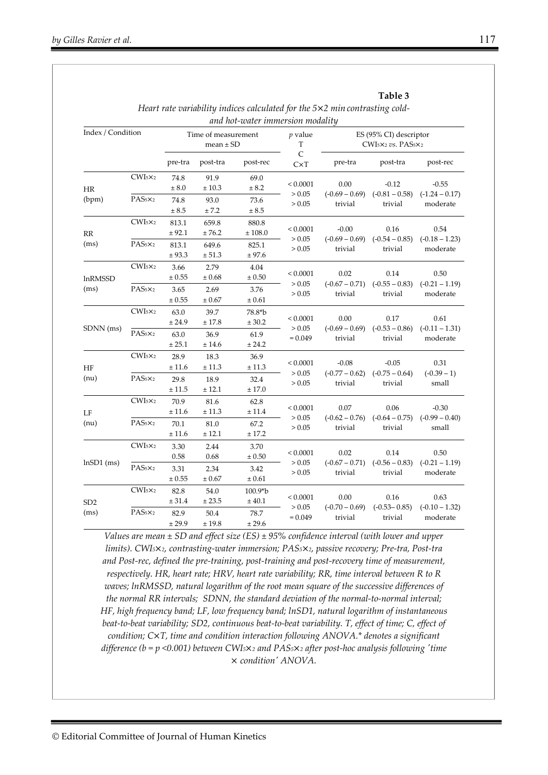|                   |                                 |                                      |                     | and hot-water immersion modality |                          |                                                    |                                        |                                      |
|-------------------|---------------------------------|--------------------------------------|---------------------|----------------------------------|--------------------------|----------------------------------------------------|----------------------------------------|--------------------------------------|
| Index / Condition |                                 | Time of measurement<br>$mean \pm SD$ |                     |                                  | $p$ value<br>$\mathbf T$ | ES (95% CI) descriptor<br>$CWIsx_2$ vs. $PAS_5x_2$ |                                        |                                      |
|                   |                                 | pre-tra                              | post-tra            | post-rec                         | $\mathsf{C}$<br>CxT      | pre-tra                                            | post-tra                               | post-rec                             |
| HR                | $CWI_5 \times_2$                | 74.8<br>± 8.0                        | 91.9<br>± 10.3      | 69.0<br>± 8.2                    | ${}< 0.0001$             | 0.00                                               | $-0.12$                                | $-0.55$                              |
| (bpm)             | $PAS_5\times_2$                 | 74.8<br>± 8.5                        | 93.0<br>± 7.2       | 73.6<br>± 8.5                    | > 0.05<br>> 0.05         | $(-0.69 - 0.69)$<br>trivial                        | $(-0.81 - 0.58)$<br>trivial            | $(-1.24 - 0.17)$<br>moderate         |
| RR                | CWIsx <sub>2</sub>              | 813.1<br>± 92.1                      | 659.8<br>± 76.2     | 880.8<br>$\pm\,108.0$            | ${}< 0.0001$             | $-0.00$                                            | 0.16                                   | 0.54                                 |
| (ms)              | PAS <sub>5</sub> × <sub>2</sub> | 813.1<br>± 93.3                      | 649.6<br>± 51.3     | 825.1<br>± 97.6                  | > 0.05<br>> 0.05         | $(-0.69 - 0.69)$<br>trivial                        | $(-0.54 - 0.85)$<br>trivial            | $(-0.18 - 1.23)$<br>moderate         |
| lnRMSSD           | CWIsx <sub>2</sub>              | 3.66<br>$\pm 0.55$                   | 2.79<br>$\pm 0.68$  | 4.04<br>± 0.50                   | ${}< 0.0001$             | 0.02<br>$(-0.67 - 0.71)$<br>trivial                | 0.14<br>$(-0.55 - 0.83)$<br>trivial    | 0.50<br>$(-0.21 - 1.19)$<br>moderate |
| (ms)              | $PAS_5\times_2$                 | 3.65<br>$\pm 0.55$                   | 2.69<br>$\pm 0.67$  | 3.76<br>± 0.61                   | > 0.05<br>> 0.05         |                                                    |                                        |                                      |
| SDNN (ms)         | $CWIsx_2$                       | 63.0<br>± 24.9                       | 39.7<br>± 17.8      | 78.8*b<br>± 30.2                 | ${}< 0.0001$<br>> 0.05   | 0.00<br>$(-0.69 - 0.69)$<br>trivial                | 0.17<br>$(-0.53 - 0.86)$<br>trivial    | 0.61<br>$(-0.11 - 1.31)$<br>moderate |
|                   | $PAS_5\times_2$                 | 63.0<br>± 25.1                       | 36.9<br>± 14.6      | 61.9<br>± 24.2                   | $= 0.049$                |                                                    |                                        |                                      |
| HF                | CWIsx <sub>2</sub>              | 28.9<br>± 11.6                       | 18.3<br>± 11.3      | 36.9<br>± 11.3                   | ${}< 0.0001$             | $-0.08$                                            | $-0.05$<br>$(-0.75 - 0.64)$<br>trivial | 0.31<br>$(-0.39 - 1)$<br>small       |
| (nu)              | $PAS_5\times_2$                 | 29.8<br>± 11.5                       | 18.9<br>± 12.1      | 32.4<br>± 17.0                   | > 0.05<br>> 0.05         | $(-0.77 - 0.62)$<br>trivial                        |                                        |                                      |
| LF                | CWIsx <sub>2</sub>              | 70.9<br>± 11.6                       | 81.6<br>$\pm\,11.3$ | 62.8<br>$\pm\,11.4$              | ${}< 0.0001$             | 0.07                                               | 0.06                                   | $-0.30$<br>$(-0.99 - 0.40)$<br>small |
| (nu)              | $PAS_5x_2$                      | 70.1<br>± 11.6                       | 81.0<br>$\pm$ 12.1  | 67.2<br>± 17.2                   | > 0.05<br>> 0.05         | $(-0.62 - 0.76)$<br>trivial                        | $(-0.64 - 0.75)$<br>trivial            |                                      |
| $lnSD1$ (ms)      | CWIsx <sub>2</sub>              | 3.30<br>0.58                         | 2.44<br>0.68        | 3.70<br>$\pm\,0.50$              | ${}< 0.0001$             | 0.02<br>$(-0.67 - 0.71)$<br>trivial                | 0.14<br>$(-0.56 - 0.83)$<br>trivial    | 0.50<br>$(-0.21 - 1.19)$<br>moderate |
|                   | PAS <sub>5</sub> × <sub>2</sub> | 3.31<br>$\pm 0.55$                   | 2.34<br>$\pm\,0.67$ | 3.42<br>$\pm\,0.61$              | > 0.05<br>> 0.05         |                                                    |                                        |                                      |
| SD <sub>2</sub>   | CWIsx <sub>2</sub>              | 82.8<br>± 31.4                       | 54.0<br>$\pm\,23.5$ | $100.9 * b$<br>$\pm\,40.1$       | ${}< 0.0001$             | 0.00<br>$(-0.70 - 0.69)$<br>trivial                | 0.16<br>$(-0.53 - 0.85)$<br>trivial    | 0.63<br>$(-0.10 - 1.32)$<br>moderate |
| (ms)              | $PAS_5x_2$                      | 82.9<br>± 29.9                       | 50.4<br>± 19.8      | 78.7<br>± 29.6                   | > 0.05<br>$= 0.049$      |                                                    |                                        |                                      |

| Heart rate variability indices calculated for the $5\times 2$ min contrasting cold- |  |
|-------------------------------------------------------------------------------------|--|
| and hot-water immersion modality                                                    |  |

*Values are mean ± SD and effect size (ES) ± 95% confidence interval (with lower and upper limits). CWI5*×*2, contrasting-water immersion; PAS5*×*2, passive recovery; Pre-tra, Post-tra and Post-rec, defined the pre-training, post-training and post-recovery time of measurement, respectively. HR, heart rate; HRV, heart rate variability; RR, time interval between R to R waves; lnRMSSD, natural logarithm of the root mean square of the successive differences of the normal RR intervals; SDNN, the standard deviation of the normal-to-normal interval; HF, high frequency band; LF, low frequency band; lnSD1, natural logarithm of instantaneous beat-to-beat variability; SD2, continuous beat-to-beat variability. T, effect of time; C, effect of condition; C*×*T, time and condition interaction following ANOVA.\* denotes a significant difference (b = p <0.001) between CWI5*×*2 and PAS5*×*2 after post-hoc analysis following 'time*  × *condition' ANOVA.* 

**Table 3**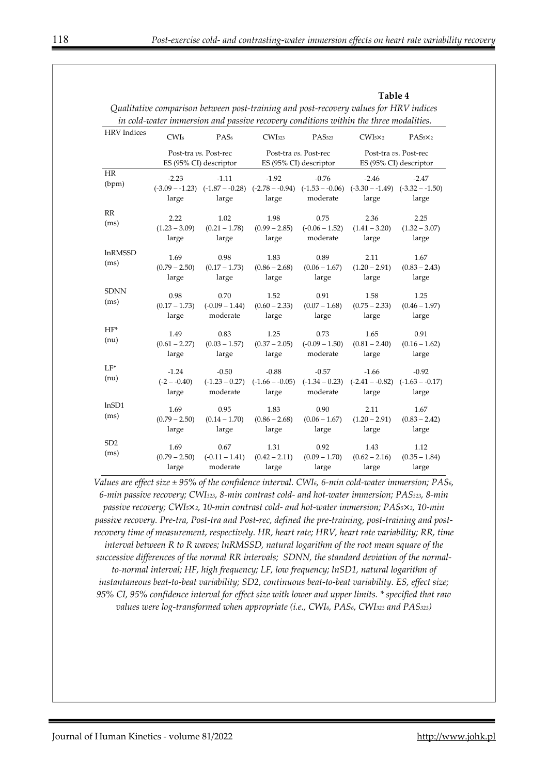**Table 4** 

|                         | Quanuanoe comparison between post-training and post-recovery bands for TIKV thatees<br>in cold-water immersion and passive recovery conditions within the three modalities. |                                                 |                                                                                                                           |                                                 |                                                 |                                       |  |
|-------------------------|-----------------------------------------------------------------------------------------------------------------------------------------------------------------------------|-------------------------------------------------|---------------------------------------------------------------------------------------------------------------------------|-------------------------------------------------|-------------------------------------------------|---------------------------------------|--|
| <b>HRV</b> Indices      | CWI <sub>6</sub>                                                                                                                                                            | PAS <sub>6</sub>                                | CWI <sub>323</sub>                                                                                                        | PAS <sub>323</sub>                              | $CWIs \times_2$                                 | $PAS_5\times_2$                       |  |
|                         |                                                                                                                                                                             | Post-tra vs. Post-rec<br>ES (95% CI) descriptor |                                                                                                                           | Post-tra vs. Post-rec<br>ES (95% CI) descriptor | Post-tra vs. Post-rec<br>ES (95% CI) descriptor |                                       |  |
| HR<br>(bpm)             | $-2.23$<br>large                                                                                                                                                            | $-1.11$<br>large                                | $-1.92$<br>$(-3.09 - 1.23)$ $(-1.87 - 0.28)$ $(-2.78 - 0.94)$ $(-1.53 - 0.06)$ $(-3.30 - 1.49)$ $(-3.32 - 1.50)$<br>large | $-0.76$<br>moderate                             | $-2.46$<br>large                                | $-2.47$<br>large                      |  |
| RR<br>(ms)              | 2.22<br>$(1.23 - 3.09)$<br>large                                                                                                                                            | 1.02<br>$(0.21 - 1.78)$<br>large                | 1.98<br>$(0.99 - 2.85)$<br>large                                                                                          | 0.75<br>$(-0.06 - 1.52)$<br>moderate            | 2.36<br>$(1.41 - 3.20)$<br>large                | 2.25<br>$(1.32 - 3.07)$<br>large      |  |
| <b>InRMSSD</b><br>(ms)  | 1.69<br>$(0.79 - 2.50)$<br>large                                                                                                                                            | 0.98<br>$(0.17 - 1.73)$<br>large                | 1.83<br>$(0.86 - 2.68)$<br>large                                                                                          | 0.89<br>$(0.06 - 1.67)$<br>large                | 2.11<br>$(1.20 - 2.91)$<br>large                | 1.67<br>$(0.83 - 2.43)$<br>large      |  |
| <b>SDNN</b><br>(ms)     | 0.98<br>$(0.17 - 1.73)$<br>large                                                                                                                                            | 0.70<br>$(-0.09 - 1.44)$<br>moderate            | 1.52<br>$(0.60 - 2.33)$<br>large                                                                                          | 0.91<br>$(0.07 - 1.68)$<br>large                | 1.58<br>$(0.75 - 2.33)$<br>large                | 1.25<br>$(0.46 - 1.97)$<br>large      |  |
| $HF^*$<br>(nu)          | 1.49<br>$(0.61 - 2.27)$<br>large                                                                                                                                            | 0.83<br>$(0.03 - 1.57)$<br>large                | 1.25<br>$(0.37 - 2.05)$<br>large                                                                                          | 0.73<br>$(-0.09 - 1.50)$<br>moderate            | 1.65<br>$(0.81 - 2.40)$<br>large                | 0.91<br>$(0.16 - 1.62)$<br>large      |  |
| $LF*$<br>(nu)           | $-1.24$<br>$(-2 - -0.40)$<br>large                                                                                                                                          | $-0.50$<br>$(-1.23 - 0.27)$<br>moderate         | $-0.88$<br>$(-1.66 - 0.05)$<br>large                                                                                      | $-0.57$<br>$(-1.34 - 0.23)$<br>moderate         | $-1.66$<br>$(-2.41 - -0.82)$<br>large           | $-0.92$<br>$(-1.63 - -0.17)$<br>large |  |
| lnSD1<br>(ms)           | 1.69<br>$(0.79 - 2.50)$<br>large                                                                                                                                            | 0.95<br>$(0.14 - 1.70)$<br>large                | 1.83<br>$(0.86 - 2.68)$<br>large                                                                                          | 0.90<br>$(0.06 - 1.67)$<br>large                | 2.11<br>$(1.20 - 2.91)$<br>large                | 1.67<br>$(0.83 - 2.42)$<br>large      |  |
| SD <sub>2</sub><br>(ms) | 1.69<br>$(0.79 - 2.50)$<br>large                                                                                                                                            | 0.67<br>$(-0.11 - 1.41)$<br>moderate            | 1.31<br>$(0.42 - 2.11)$<br>large                                                                                          | 0.92<br>$(0.09 - 1.70)$<br>large                | 1.43<br>$(0.62 - 2.16)$<br>large                | 1.12<br>$(0.35 - 1.84)$<br>large      |  |

*Qualitative comparison between post-training and post-recovery values for HRV indices* 

*Values are effect size ± 95% of the confidence interval. CWI6, 6-min cold-water immersion; PAS6, 6-min passive recovery; CWI323, 8-min contrast cold- and hot-water immersion; PAS323, 8-min passive recovery; CWI5*×*2, 10-min contrast cold- and hot-water immersion; PAS5*×*2, 10-min passive recovery. Pre-tra, Post-tra and Post-rec, defined the pre-training, post-training and postrecovery time of measurement, respectively. HR, heart rate; HRV, heart rate variability; RR, time interval between R to R waves; lnRMSSD, natural logarithm of the root mean square of the successive differences of the normal RR intervals; SDNN, the standard deviation of the normalto-normal interval; HF, high frequency; LF, low frequency; lnSD1, natural logarithm of instantaneous beat-to-beat variability; SD2, continuous beat-to-beat variability. ES, effect size; 95% CI, 95% confidence interval for effect size with lower and upper limits. \* specified that raw values were log-transformed when appropriate (i.e., CWI6, PAS6, CWI323 and PAS323)*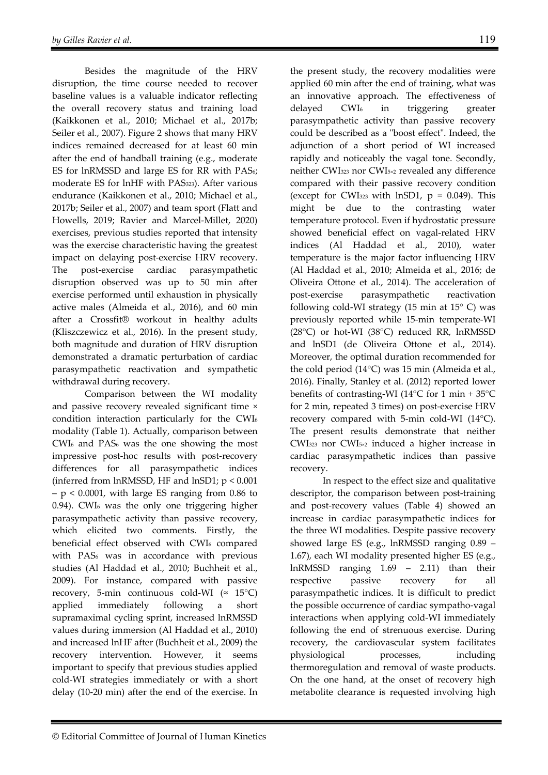Besides the magnitude of the HRV disruption, the time course needed to recover baseline values is a valuable indicator reflecting the overall recovery status and training load (Kaikkonen et al., 2010; Michael et al., 2017b; Seiler et al., 2007). Figure 2 shows that many HRV indices remained decreased for at least 60 min after the end of handball training (e.g., moderate ES for lnRMSSD and large ES for RR with PAS6; moderate ES for lnHF with PAS323). After various endurance (Kaikkonen et al., 2010; Michael et al., 2017b; Seiler et al., 2007) and team sport (Flatt and Howells, 2019; Ravier and Marcel-Millet, 2020) exercises, previous studies reported that intensity was the exercise characteristic having the greatest impact on delaying post-exercise HRV recovery. The post-exercise cardiac parasympathetic disruption observed was up to 50 min after exercise performed until exhaustion in physically active males (Almeida et al., 2016), and 60 min after a Crossfit® workout in healthy adults (Kliszczewicz et al., 2016). In the present study, both magnitude and duration of HRV disruption demonstrated a dramatic perturbation of cardiac parasympathetic reactivation and sympathetic withdrawal during recovery.

Comparison between the WI modality and passive recovery revealed significant time × condition interaction particularly for the CWI6 modality (Table 1). Actually, comparison between CWI6 and PAS6 was the one showing the most impressive post-hoc results with post-recovery differences for all parasympathetic indices (inferred from lnRMSSD, HF and lnSD1;  $p < 0.001$ )  $-p < 0.0001$ , with large ES ranging from 0.86 to 0.94). CWI6 was the only one triggering higher parasympathetic activity than passive recovery, which elicited two comments. Firstly, the beneficial effect observed with CWI<sub>6</sub> compared with PAS<sub>6</sub> was in accordance with previous studies (Al Haddad et al., 2010; Buchheit et al., 2009). For instance, compared with passive recovery, 5-min continuous cold-WI ( $\approx 15^{\circ}$ C) applied immediately following a short supramaximal cycling sprint, increased lnRMSSD values during immersion (Al Haddad et al., 2010) and increased lnHF after (Buchheit et al., 2009) the recovery intervention. However, it seems important to specify that previous studies applied cold-WI strategies immediately or with a short delay (10-20 min) after the end of the exercise. In the present study, the recovery modalities were applied 60 min after the end of training, what was an innovative approach. The effectiveness of delayed CWI6 in triggering greater parasympathetic activity than passive recovery could be described as a "boost effect". Indeed, the adjunction of a short period of WI increased rapidly and noticeably the vagal tone. Secondly, neither CWI323 nor CWI5×2 revealed any difference compared with their passive recovery condition (except for CWI<sub>323</sub> with lnSD1,  $p = 0.049$ ). This might be due to the contrasting water temperature protocol. Even if hydrostatic pressure showed beneficial effect on vagal-related HRV indices (Al Haddad et al., 2010), water temperature is the major factor influencing HRV (Al Haddad et al., 2010; Almeida et al., 2016; de Oliveira Ottone et al., 2014). The acceleration of post-exercise parasympathetic reactivation following cold-WI strategy (15 min at 15° C) was previously reported while 15-min temperate-WI (28°C) or hot-WI (38°C) reduced RR, lnRMSSD and lnSD1 (de Oliveira Ottone et al., 2014). Moreover, the optimal duration recommended for the cold period (14°C) was 15 min (Almeida et al., 2016). Finally, Stanley et al. (2012) reported lower benefits of contrasting-WI (14°C for 1 min + 35°C for 2 min, repeated 3 times) on post-exercise HRV recovery compared with 5-min cold-WI (14°C). The present results demonstrate that neither CWI323 nor CWI5×2 induced a higher increase in cardiac parasympathetic indices than passive recovery.

In respect to the effect size and qualitative descriptor, the comparison between post-training and post-recovery values (Table 4) showed an increase in cardiac parasympathetic indices for the three WI modalities. Despite passive recovery showed large ES (e.g., lnRMSSD ranging 0.89 – 1.67), each WI modality presented higher ES (e.g., lnRMSSD ranging 1.69 – 2.11) than their respective passive recovery for all parasympathetic indices. It is difficult to predict the possible occurrence of cardiac sympatho-vagal interactions when applying cold-WI immediately following the end of strenuous exercise. During recovery, the cardiovascular system facilitates physiological processes, including thermoregulation and removal of waste products. On the one hand, at the onset of recovery high metabolite clearance is requested involving high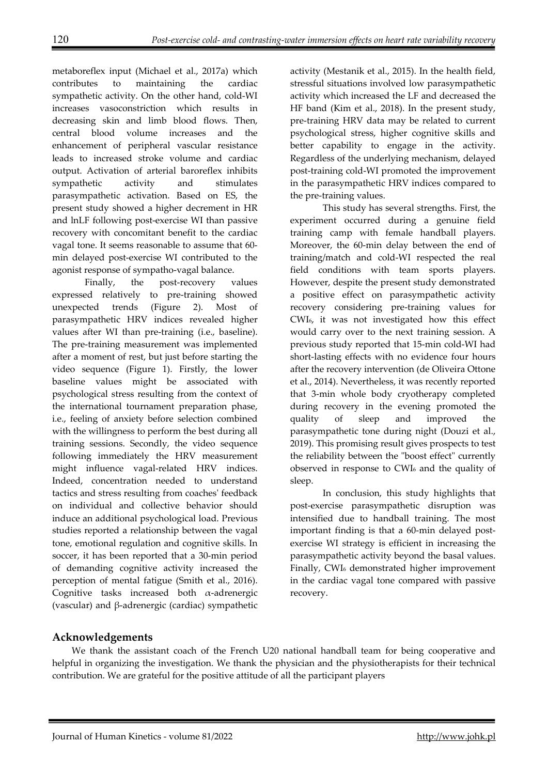metaboreflex input (Michael et al., 2017a) which contributes to maintaining the cardiac sympathetic activity. On the other hand, cold-WI increases vasoconstriction which results in decreasing skin and limb blood flows. Then, central blood volume increases and the enhancement of peripheral vascular resistance leads to increased stroke volume and cardiac output. Activation of arterial baroreflex inhibits sympathetic activity and stimulates parasympathetic activation. Based on ES, the present study showed a higher decrement in HR and lnLF following post-exercise WI than passive recovery with concomitant benefit to the cardiac vagal tone. It seems reasonable to assume that 60 min delayed post-exercise WI contributed to the agonist response of sympatho-vagal balance.

Finally, the post-recovery values expressed relatively to pre-training showed unexpected trends (Figure 2). Most of parasympathetic HRV indices revealed higher values after WI than pre-training (i.e., baseline). The pre-training measurement was implemented after a moment of rest, but just before starting the video sequence (Figure 1). Firstly, the lower baseline values might be associated with psychological stress resulting from the context of the international tournament preparation phase, i.e., feeling of anxiety before selection combined with the willingness to perform the best during all training sessions. Secondly, the video sequence following immediately the HRV measurement might influence vagal-related HRV indices. Indeed, concentration needed to understand tactics and stress resulting from coaches' feedback on individual and collective behavior should induce an additional psychological load. Previous studies reported a relationship between the vagal tone, emotional regulation and cognitive skills. In soccer, it has been reported that a 30-min period of demanding cognitive activity increased the perception of mental fatigue (Smith et al., 2016). Cognitive tasks increased both α-adrenergic (vascular) and β-adrenergic (cardiac) sympathetic activity (Mestanik et al., 2015). In the health field, stressful situations involved low parasympathetic activity which increased the LF and decreased the HF band (Kim et al., 2018). In the present study, pre-training HRV data may be related to current psychological stress, higher cognitive skills and better capability to engage in the activity. Regardless of the underlying mechanism, delayed post-training cold-WI promoted the improvement in the parasympathetic HRV indices compared to the pre-training values.

This study has several strengths. First, the experiment occurred during a genuine field training camp with female handball players. Moreover, the 60-min delay between the end of training/match and cold-WI respected the real field conditions with team sports players. However, despite the present study demonstrated a positive effect on parasympathetic activity recovery considering pre-training values for CWI6, it was not investigated how this effect would carry over to the next training session. A previous study reported that 15-min cold-WI had short-lasting effects with no evidence four hours after the recovery intervention (de Oliveira Ottone et al., 2014). Nevertheless, it was recently reported that 3-min whole body cryotherapy completed during recovery in the evening promoted the quality of sleep and improved the parasympathetic tone during night (Douzi et al., 2019). This promising result gives prospects to test the reliability between the "boost effect" currently observed in response to CWI6 and the quality of sleep.

In conclusion, this study highlights that post-exercise parasympathetic disruption was intensified due to handball training. The most important finding is that a 60-min delayed postexercise WI strategy is efficient in increasing the parasympathetic activity beyond the basal values. Finally, CWI6 demonstrated higher improvement in the cardiac vagal tone compared with passive recovery.

# **Acknowledgements**

We thank the assistant coach of the French U20 national handball team for being cooperative and helpful in organizing the investigation. We thank the physician and the physiotherapists for their technical contribution. We are grateful for the positive attitude of all the participant players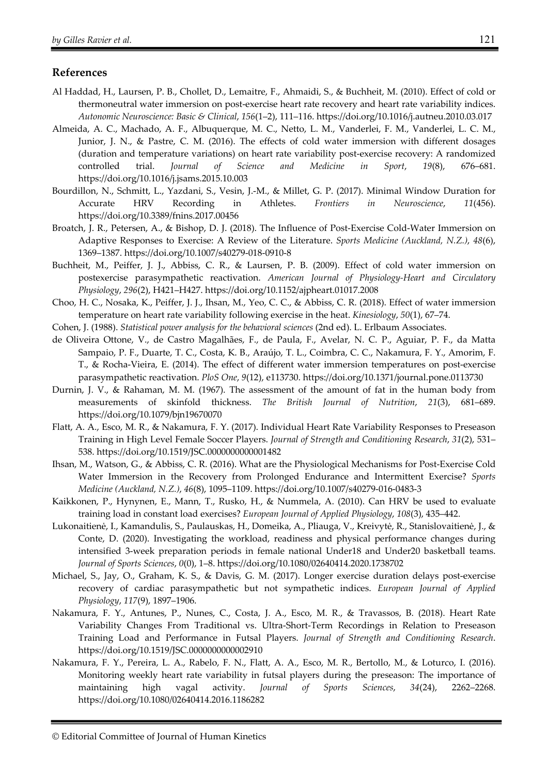#### **References**

- Al Haddad, H., Laursen, P. B., Chollet, D., Lemaitre, F., Ahmaidi, S., & Buchheit, M. (2010). Effect of cold or thermoneutral water immersion on post-exercise heart rate recovery and heart rate variability indices. *Autonomic Neuroscience: Basic & Clinical*, *156*(1–2), 111–116. https://doi.org/10.1016/j.autneu.2010.03.017
- Almeida, A. C., Machado, A. F., Albuquerque, M. C., Netto, L. M., Vanderlei, F. M., Vanderlei, L. C. M., Junior, J. N., & Pastre, C. M. (2016). The effects of cold water immersion with different dosages (duration and temperature variations) on heart rate variability post-exercise recovery: A randomized controlled trial. *Journal of Science and Medicine in Sport*, *19*(8), 676–681. https://doi.org/10.1016/j.jsams.2015.10.003
- Bourdillon, N., Schmitt, L., Yazdani, S., Vesin, J.-M., & Millet, G. P. (2017). Minimal Window Duration for Accurate HRV Recording in Athletes. *Frontiers in Neuroscience*, *11*(456). https://doi.org/10.3389/fnins.2017.00456
- Broatch, J. R., Petersen, A., & Bishop, D. J. (2018). The Influence of Post-Exercise Cold-Water Immersion on Adaptive Responses to Exercise: A Review of the Literature. *Sports Medicine (Auckland, N.Z.)*, *48*(6), 1369–1387. https://doi.org/10.1007/s40279-018-0910-8
- Buchheit, M., Peiffer, J. J., Abbiss, C. R., & Laursen, P. B. (2009). Effect of cold water immersion on postexercise parasympathetic reactivation. *American Journal of Physiology-Heart and Circulatory Physiology*, *296*(2), H421–H427. https://doi.org/10.1152/ajpheart.01017.2008
- Choo, H. C., Nosaka, K., Peiffer, J. J., Ihsan, M., Yeo, C. C., & Abbiss, C. R. (2018). Effect of water immersion temperature on heart rate variability following exercise in the heat. *Kinesiology*, *50*(1), 67–74.
- Cohen, J. (1988). *Statistical power analysis for the behavioral sciences* (2nd ed). L. Erlbaum Associates.
- de Oliveira Ottone, V., de Castro Magalhães, F., de Paula, F., Avelar, N. C. P., Aguiar, P. F., da Matta Sampaio, P. F., Duarte, T. C., Costa, K. B., Araújo, T. L., Coimbra, C. C., Nakamura, F. Y., Amorim, F. T., & Rocha-Vieira, E. (2014). The effect of different water immersion temperatures on post-exercise parasympathetic reactivation. *PloS One*, *9*(12), e113730. https://doi.org/10.1371/journal.pone.0113730
- Durnin, J. V., & Rahaman, M. M. (1967). The assessment of the amount of fat in the human body from measurements of skinfold thickness. *The British Journal of Nutrition*, *21*(3), 681–689. https://doi.org/10.1079/bjn19670070
- Flatt, A. A., Esco, M. R., & Nakamura, F. Y. (2017). Individual Heart Rate Variability Responses to Preseason Training in High Level Female Soccer Players. *Journal of Strength and Conditioning Research*, *31*(2), 531– 538. https://doi.org/10.1519/JSC.0000000000001482
- Ihsan, M., Watson, G., & Abbiss, C. R. (2016). What are the Physiological Mechanisms for Post-Exercise Cold Water Immersion in the Recovery from Prolonged Endurance and Intermittent Exercise? *Sports Medicine (Auckland, N.Z.)*, *46*(8), 1095–1109. https://doi.org/10.1007/s40279-016-0483-3
- Kaikkonen, P., Hynynen, E., Mann, T., Rusko, H., & Nummela, A. (2010). Can HRV be used to evaluate training load in constant load exercises? *European Journal of Applied Physiology*, *108*(3), 435–442.
- Lukonaitienė, I., Kamandulis, S., Paulauskas, H., Domeika, A., Pliauga, V., Kreivytė, R., Stanislovaitienė, J., & Conte, D. (2020). Investigating the workload, readiness and physical performance changes during intensified 3-week preparation periods in female national Under18 and Under20 basketball teams. *Journal of Sports Sciences*, *0*(0), 1–8. https://doi.org/10.1080/02640414.2020.1738702
- Michael, S., Jay, O., Graham, K. S., & Davis, G. M. (2017). Longer exercise duration delays post-exercise recovery of cardiac parasympathetic but not sympathetic indices. *European Journal of Applied Physiology*, *117*(9), 1897–1906.
- Nakamura, F. Y., Antunes, P., Nunes, C., Costa, J. A., Esco, M. R., & Travassos, B. (2018). Heart Rate Variability Changes From Traditional vs. Ultra-Short-Term Recordings in Relation to Preseason Training Load and Performance in Futsal Players. *Journal of Strength and Conditioning Research*. https://doi.org/10.1519/JSC.0000000000002910
- Nakamura, F. Y., Pereira, L. A., Rabelo, F. N., Flatt, A. A., Esco, M. R., Bertollo, M., & Loturco, I. (2016). Monitoring weekly heart rate variability in futsal players during the preseason: The importance of maintaining high vagal activity. *Journal of Sports Sciences*, *34*(24), 2262–2268. https://doi.org/10.1080/02640414.2016.1186282